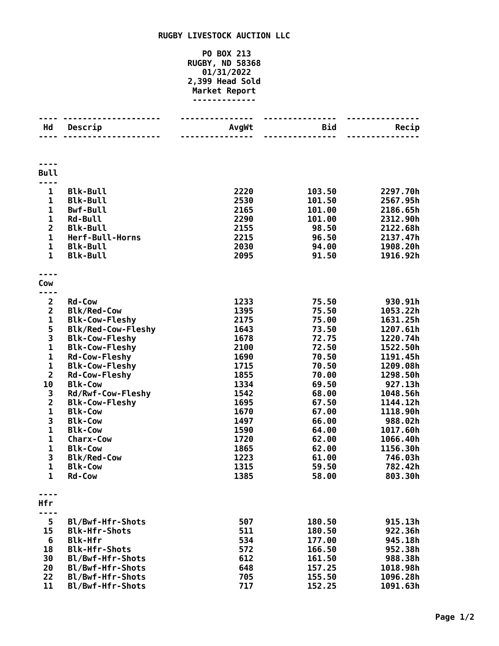## **RUGBY LIVESTOCK AUCTION LLC**

## **PO BOX 213 RUGBY, ND 58368 01/31/2022 2,399 Head Sold Market Report -------------**

| Hd                                      | <u> - - - - - - - - - -</u><br>Descrip | <b>AvgWt</b> | Bid<br>---------------- | Recip               |
|-----------------------------------------|----------------------------------------|--------------|-------------------------|---------------------|
|                                         |                                        |              |                         |                     |
| <b>Bull</b>                             |                                        |              |                         |                     |
| $\mathbf{1}$                            | <b>Blk-Bull</b>                        | 2220         | 103.50                  | 2297.70h            |
| $\mathbf{1}$                            | <b>Blk-Bull</b>                        | 2530         | 101.50                  | 2567.95h            |
| 1                                       | <b>Bwf-Bull</b>                        | 2165         | 101.00                  | 2186.65h            |
| $\mathbf 1$                             | <b>Rd-Bull</b>                         | 2290         | 101.00                  | 2312.90h            |
| $\overline{2}$                          | <b>Blk-Bull</b>                        | 2155         | 98.50                   | 2122.68h            |
| $\mathbf 1$                             | Herf-Bull-Horns                        | 2215         | 96.50                   | 2137.47h            |
| 1                                       | <b>Blk-Bull</b>                        | 2030         | 94.00                   | 1908.20h            |
| $\mathbf{1}$                            | <b>Blk-Bull</b>                        | 2095         | 91.50                   | 1916.92h            |
|                                         |                                        |              |                         |                     |
|                                         |                                        |              |                         |                     |
| Cow                                     |                                        |              |                         |                     |
| ---                                     |                                        |              |                         |                     |
| $\overline{2}$                          | <b>Rd-Cow</b>                          | 1233         | 75.50                   | 930.91h             |
| $\overline{\mathbf{2}}$                 | <b>Blk/Red-Cow</b>                     | 1395         | 75.50                   | 1053.22h            |
| 1                                       | <b>Blk-Cow-Fleshy</b>                  | 2175         | 75.00                   | 1631.25h            |
| 5<br>3                                  | <b>Blk/Red-Cow-Fleshy</b>              | 1643         | 73.50                   | 1207.61h            |
|                                         | <b>Blk-Cow-Fleshy</b>                  | 1678         | 72.75                   | 1220.74h            |
| $\mathbf{1}$                            | <b>Blk-Cow-Fleshy</b>                  | 2100         | 72.50                   | 1522.50h            |
| $\mathbf 1$                             | <b>Rd-Cow-Fleshy</b>                   | 1690         | 70.50                   | 1191.45h            |
| $\mathbf 1$                             | <b>Blk-Cow-Fleshy</b>                  | 1715         | 70.50                   | 1209.08h            |
| $\overline{2}$                          | <b>Rd-Cow-Fleshy</b>                   | 1855         | 70.00                   | 1298.50h            |
| 10                                      | <b>Blk-Cow</b>                         | 1334         | 69.50                   | 927.13h             |
| 3                                       | Rd/Rwf-Cow-Fleshy                      | 1542         | 68.00                   | 1048.56h            |
| $\overline{\mathbf{c}}$<br>$\mathbf{1}$ | <b>Blk-Cow-Fleshy</b>                  | 1695         | 67.50                   | 1144.12h            |
| 3                                       | <b>Blk-Cow</b>                         | 1670         | 67.00                   | 1118.90h            |
| $\mathbf 1$                             | <b>Blk-Cow</b><br><b>Blk-Cow</b>       | 1497<br>1590 | 66.00<br>64.00          | 988.02h<br>1017.60h |
| $\mathbf{1}$                            | <b>Charx-Cow</b>                       | 1720         | 62.00                   | 1066.40h            |
| $\mathbf{1}$                            | <b>Blk-Cow</b>                         | 1865         | 62.00                   | 1156.30h            |
| 3                                       | <b>Blk/Red-Cow</b>                     | 1223         | 61.00                   | 746.03h             |
| $\mathbf 1$                             | <b>Blk-Cow</b>                         | 1315         | 59.50                   | 782.42h             |
| 1                                       | <b>Rd-Cow</b>                          | 1385         | 58.00                   | 803.30h             |
|                                         |                                        |              |                         |                     |
|                                         |                                        |              |                         |                     |
| Hfr                                     |                                        |              |                         |                     |
|                                         |                                        |              |                         |                     |
| 5                                       | Bl/Bwf-Hfr-Shots                       | 507          | 180.50                  | 915.13h             |
| 15                                      | <b>Blk-Hfr-Shots</b>                   | 511          | 180.50                  | 922.36h             |
| 6                                       | <b>Blk-Hfr</b>                         | 534          | 177.00                  | 945.18h             |
| 18                                      | <b>Blk-Hfr-Shots</b>                   | 572          | 166.50                  | 952.38h             |
| 30                                      | Bl/Bwf-Hfr-Shots                       | 612          | 161.50                  | 988.38h             |
| 20                                      | Bl/Bwf-Hfr-Shots                       | 648          | 157.25                  | 1018.98h            |
| 22                                      | Bl/Bwf-Hfr-Shots                       | 705          | 155.50                  | 1096.28h            |
| 11                                      | Bl/Bwf-Hfr-Shots                       | 717          | 152.25                  | 1091.63h            |